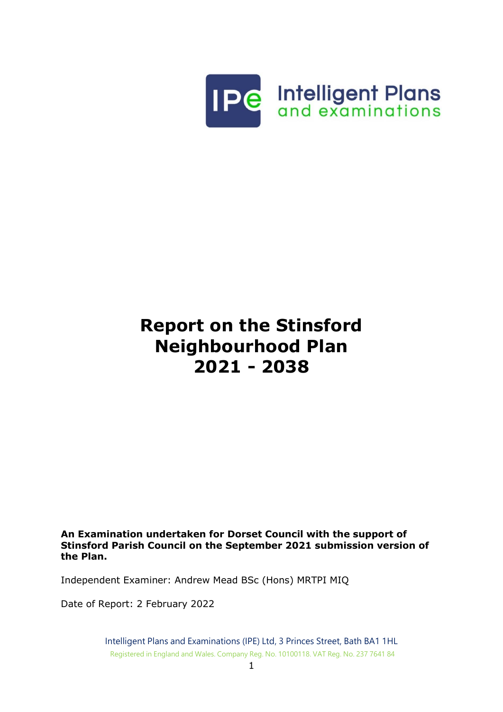

# **Report on the Stinsford Neighbourhood Plan 2021 - 2038**

**An Examination undertaken for Dorset Council with the support of Stinsford Parish Council on the September 2021 submission version of the Plan.**

Independent Examiner: Andrew Mead BSc (Hons) MRTPI MIQ

Date of Report: 2 February 2022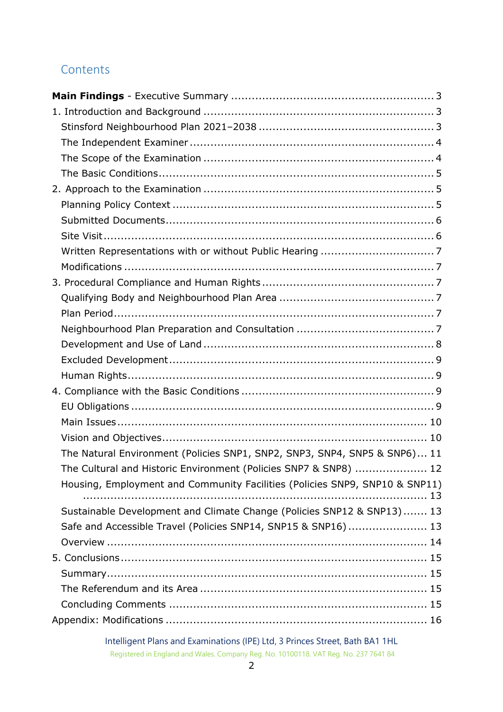# **Contents**

| The Natural Environment (Policies SNP1, SNP2, SNP3, SNP4, SNP5 & SNP6) 11   |    |
|-----------------------------------------------------------------------------|----|
| The Cultural and Historic Environment (Policies SNP7 & SNP8)  12            |    |
| Housing, Employment and Community Facilities (Policies SNP9, SNP10 & SNP11) |    |
|                                                                             | 13 |
| Sustainable Development and Climate Change (Policies SNP12 & SNP13) 13      |    |
| Safe and Accessible Travel (Policies SNP14, SNP15 & SNP16) 13               |    |
|                                                                             |    |
|                                                                             |    |
|                                                                             |    |
|                                                                             |    |
|                                                                             |    |
|                                                                             |    |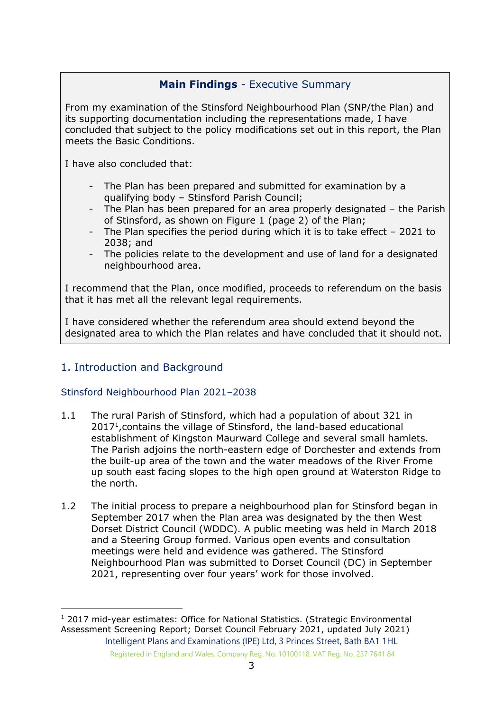# **Main Findings** - Executive Summary

<span id="page-2-0"></span>From my examination of the Stinsford Neighbourhood Plan (SNP/the Plan) and its supporting documentation including the representations made, I have concluded that subject to the policy modifications set out in this report, the Plan meets the Basic Conditions.

I have also concluded that:

- The Plan has been prepared and submitted for examination by a qualifying body – Stinsford Parish Council;
- The Plan has been prepared for an area properly designated the Parish of Stinsford, as shown on Figure 1 (page 2) of the Plan;
- The Plan specifies the period during which it is to take effect 2021 to 2038; and
- The policies relate to the development and use of land for a designated neighbourhood area.

I recommend that the Plan, once modified, proceeds to referendum on the basis that it has met all the relevant legal requirements.

I have considered whether the referendum area should extend beyond the designated area to which the Plan relates and have concluded that it should not.

# <span id="page-2-1"></span>1. Introduction and Background

# <span id="page-2-2"></span>Stinsford Neighbourhood Plan 2021–2038

- 1.1 The rural Parish of Stinsford, which had a population of about 321 in 2017<sup>1</sup>, contains the village of Stinsford, the land-based educational establishment of Kingston Maurward College and several small hamlets. The Parish adjoins the north-eastern edge of Dorchester and extends from the built-up area of the town and the water meadows of the River Frome up south east facing slopes to the high open ground at Waterston Ridge to the north.
- 1.2 The initial process to prepare a neighbourhood plan for Stinsford began in September 2017 when the Plan area was designated by the then West Dorset District Council (WDDC). A public meeting was held in March 2018 and a Steering Group formed. Various open events and consultation meetings were held and evidence was gathered. The Stinsford Neighbourhood Plan was submitted to Dorset Council (DC) in September 2021, representing over four years' work for those involved.

Intelligent Plans and Examinations (IPE) Ltd, 3 Princes Street, Bath BA1 1HL Registered in England and Wales. Company Reg. No. 10100118. VAT Reg. No. 237 7641 84 <sup>1</sup> 2017 mid-year estimates: Office for National Statistics. (Strategic Environmental Assessment Screening Report; Dorset Council February 2021, updated July 2021)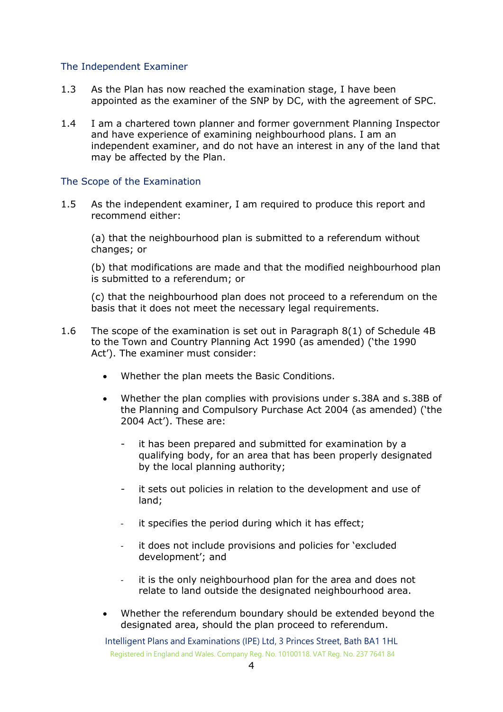#### <span id="page-3-0"></span>The Independent Examiner

- 1.3 As the Plan has now reached the examination stage, I have been appointed as the examiner of the SNP by DC, with the agreement of SPC.
- 1.4 I am a chartered town planner and former government Planning Inspector and have experience of examining neighbourhood plans. I am an independent examiner, and do not have an interest in any of the land that may be affected by the Plan.

#### <span id="page-3-1"></span>The Scope of the Examination

1.5 As the independent examiner, I am required to produce this report and recommend either:

(a) that the neighbourhood plan is submitted to a referendum without changes; or

(b) that modifications are made and that the modified neighbourhood plan is submitted to a referendum; or

(c) that the neighbourhood plan does not proceed to a referendum on the basis that it does not meet the necessary legal requirements.

- 1.6 The scope of the examination is set out in Paragraph 8(1) of Schedule 4B to the Town and Country Planning Act 1990 (as amended) ('the 1990 Act'). The examiner must consider:
	- Whether the plan meets the Basic Conditions.
	- Whether the plan complies with provisions under s.38A and s.38B of the Planning and Compulsory Purchase Act 2004 (as amended) ('the 2004 Act'). These are:
		- it has been prepared and submitted for examination by a qualifying body, for an area that has been properly designated by the local planning authority;
		- it sets out policies in relation to the development and use of land;
		- it specifies the period during which it has effect;
		- it does not include provisions and policies for 'excluded development'; and
		- it is the only neighbourhood plan for the area and does not relate to land outside the designated neighbourhood area.
	- Whether the referendum boundary should be extended beyond the designated area, should the plan proceed to referendum.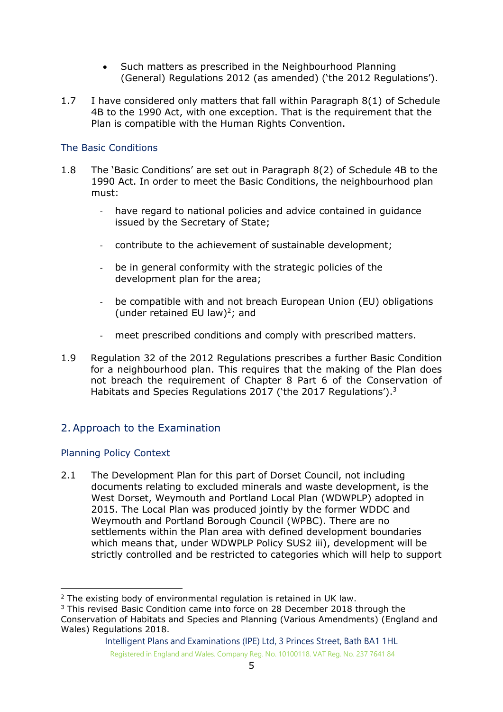- Such matters as prescribed in the Neighbourhood Planning (General) Regulations 2012 (as amended) ('the 2012 Regulations').
- 1.7 I have considered only matters that fall within Paragraph 8(1) of Schedule 4B to the 1990 Act, with one exception. That is the requirement that the Plan is compatible with the Human Rights Convention.

# <span id="page-4-0"></span>The Basic Conditions

- 1.8 The 'Basic Conditions' are set out in Paragraph 8(2) of Schedule 4B to the 1990 Act. In order to meet the Basic Conditions, the neighbourhood plan must:
	- have regard to national policies and advice contained in guidance issued by the Secretary of State;
	- contribute to the achievement of sustainable development;
	- be in general conformity with the strategic policies of the development plan for the area;
	- be compatible with and not breach European Union (EU) obligations (under retained EU law)<sup>2</sup>; and
	- meet prescribed conditions and comply with prescribed matters.
- 1.9 Regulation 32 of the 2012 Regulations prescribes a further Basic Condition for a neighbourhood plan. This requires that the making of the Plan does not breach the requirement of Chapter 8 Part 6 of the Conservation of Habitats and Species Regulations 2017 ('the 2017 Regulations').<sup>3</sup>

# <span id="page-4-1"></span>2. Approach to the Examination

# <span id="page-4-2"></span>Planning Policy Context

2.1 The Development Plan for this part of Dorset Council, not including documents relating to excluded minerals and waste development, is the West Dorset, Weymouth and Portland Local Plan (WDWPLP) adopted in 2015. The Local Plan was produced jointly by the former WDDC and Weymouth and Portland Borough Council (WPBC). There are no settlements within the Plan area with defined development boundaries which means that, under WDWPLP Policy SUS2 iii), development will be strictly controlled and be restricted to categories which will help to support

<sup>2</sup> The existing body of environmental regulation is retained in UK law.

<sup>3</sup> This revised Basic Condition came into force on 28 December 2018 through the Conservation of Habitats and Species and Planning (Various Amendments) (England and Wales) Regulations 2018.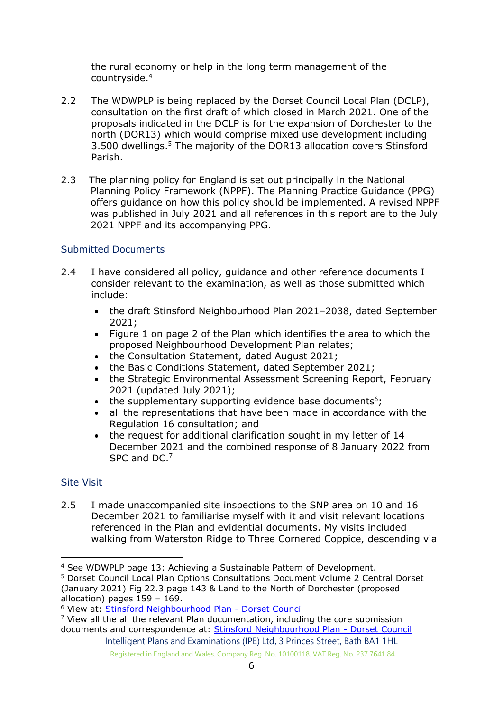the rural economy or help in the long term management of the countryside. 4

- 2.2 The WDWPLP is being replaced by the Dorset Council Local Plan (DCLP), consultation on the first draft of which closed in March 2021. One of the proposals indicated in the DCLP is for the expansion of Dorchester to the north (DOR13) which would comprise mixed use development including 3.500 dwellings. <sup>5</sup> The majority of the DOR13 allocation covers Stinsford Parish.
- 2.3 The planning policy for England is set out principally in the National Planning Policy Framework (NPPF). The Planning Practice Guidance (PPG) offers guidance on how this policy should be implemented. A revised NPPF was published in July 2021 and all references in this report are to the July 2021 NPPF and its accompanying PPG.

# <span id="page-5-0"></span>Submitted Documents

- 2.4 I have considered all policy, quidance and other reference documents I consider relevant to the examination, as well as those submitted which include:
	- the draft Stinsford Neighbourhood Plan 2021–2038, dated September 2021;
	- Figure 1 on page 2 of the Plan which identifies the area to which the proposed Neighbourhood Development Plan relates;
	- the Consultation Statement, dated August 2021;
	- the Basic Conditions Statement, dated September 2021;
	- the Strategic Environmental Assessment Screening Report, February 2021 (updated July 2021);
	- $\bullet$  the supplementary supporting evidence base documents<sup>6</sup>;
	- all the representations that have been made in accordance with the Regulation 16 consultation; and
	- the request for additional clarification sought in my letter of 14 December 2021 and the combined response of 8 January 2022 from SPC and DC.<sup>7</sup>

# <span id="page-5-1"></span>Site Visit

2.5 I made unaccompanied site inspections to the SNP area on 10 and 16 December 2021 to familiarise myself with it and visit relevant locations referenced in the Plan and evidential documents. My visits included walking from Waterston Ridge to Three Cornered Coppice, descending via

<sup>4</sup> See WDWPLP page 13: Achieving a Sustainable Pattern of Development.

<sup>5</sup> Dorset Council Local Plan Options Consultations Document Volume 2 Central Dorset (January 2021) Fig 22.3 page 143 & Land to the North of Dorchester (proposed allocation) pages 159 – 169.

<sup>6</sup> View at: [Stinsford Neighbourhood Plan -](https://www.dorsetcouncil.gov.uk/stinsford-neighbourhood-plan) Dorset Council

 $7$  View all the all the relevant Plan documentation, including the core submission documents and correspondence at: [Stinsford Neighbourhood Plan -](https://www.dorsetcouncil.gov.uk/stinsford-neighbourhood-plan) Dorset Council

Intelligent Plans and Examinations (IPE) Ltd, 3 Princes Street, Bath BA1 1HL Registered in England and Wales. Company Reg. No. 10100118. VAT Reg. No. 237 7641 84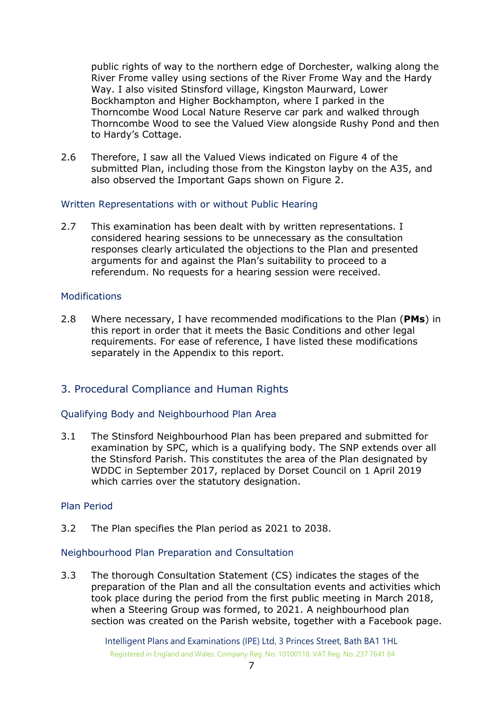public rights of way to the northern edge of Dorchester, walking along the River Frome valley using sections of the River Frome Way and the Hardy Way. I also visited Stinsford village, Kingston Maurward, Lower Bockhampton and Higher Bockhampton, where I parked in the Thorncombe Wood Local Nature Reserve car park and walked through Thorncombe Wood to see the Valued View alongside Rushy Pond and then to Hardy's Cottage.

2.6 Therefore, I saw all the Valued Views indicated on Figure 4 of the submitted Plan, including those from the Kingston layby on the A35, and also observed the Important Gaps shown on Figure 2.

#### <span id="page-6-0"></span>Written Representations with or without Public Hearing

2.7 This examination has been dealt with by written representations. I considered hearing sessions to be unnecessary as the consultation responses clearly articulated the objections to the Plan and presented arguments for and against the Plan's suitability to proceed to a referendum. No requests for a hearing session were received.

#### <span id="page-6-1"></span>**Modifications**

2.8 Where necessary, I have recommended modifications to the Plan (**PMs**) in this report in order that it meets the Basic Conditions and other legal requirements. For ease of reference, I have listed these modifications separately in the Appendix to this report.

# <span id="page-6-2"></span>3. Procedural Compliance and Human Rights

# <span id="page-6-3"></span>Qualifying Body and Neighbourhood Plan Area

3.1 The Stinsford Neighbourhood Plan has been prepared and submitted for examination by SPC, which is a qualifying body. The SNP extends over all the Stinsford Parish. This constitutes the area of the Plan designated by WDDC in September 2017, replaced by Dorset Council on 1 April 2019 which carries over the statutory designation.

#### <span id="page-6-4"></span>Plan Period

3.2 The Plan specifies the Plan period as 2021 to 2038.

#### <span id="page-6-5"></span>Neighbourhood Plan Preparation and Consultation

3.3 The thorough Consultation Statement (CS) indicates the stages of the preparation of the Plan and all the consultation events and activities which took place during the period from the first public meeting in March 2018, when a Steering Group was formed, to 2021. A neighbourhood plan section was created on the Parish website, together with a Facebook page.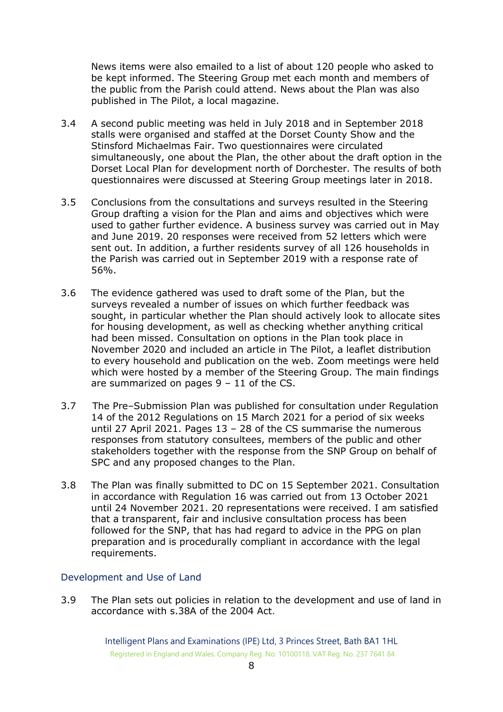News items were also emailed to a list of about 120 people who asked to be kept informed. The Steering Group met each month and members of the public from the Parish could attend. News about the Plan was also published in The Pilot, a local magazine.

- 3.4 A second public meeting was held in July 2018 and in September 2018 stalls were organised and staffed at the Dorset County Show and the Stinsford Michaelmas Fair. Two questionnaires were circulated simultaneously, one about the Plan, the other about the draft option in the Dorset Local Plan for development north of Dorchester. The results of both questionnaires were discussed at Steering Group meetings later in 2018.
- 3.5 Conclusions from the consultations and surveys resulted in the Steering Group drafting a vision for the Plan and aims and objectives which were used to gather further evidence. A business survey was carried out in May and June 2019. 20 responses were received from 52 letters which were sent out. In addition, a further residents survey of all 126 households in the Parish was carried out in September 2019 with a response rate of 56%.
- 3.6 The evidence gathered was used to draft some of the Plan, but the surveys revealed a number of issues on which further feedback was sought, in particular whether the Plan should actively look to allocate sites for housing development, as well as checking whether anything critical had been missed. Consultation on options in the Plan took place in November 2020 and included an article in The Pilot, a leaflet distribution to every household and publication on the web. Zoom meetings were held which were hosted by a member of the Steering Group. The main findings are summarized on pages  $9 - 11$  of the CS.
- 3.7 The Pre–Submission Plan was published for consultation under Regulation 14 of the 2012 Regulations on 15 March 2021 for a period of six weeks until 27 April 2021. Pages 13 – 28 of the CS summarise the numerous responses from statutory consultees, members of the public and other stakeholders together with the response from the SNP Group on behalf of SPC and any proposed changes to the Plan.
- 3.8 The Plan was finally submitted to DC on 15 September 2021. Consultation in accordance with Regulation 16 was carried out from 13 October 2021 until 24 November 2021. 20 representations were received. I am satisfied that a transparent, fair and inclusive consultation process has been followed for the SNP, that has had regard to advice in the PPG on plan preparation and is procedurally compliant in accordance with the legal requirements.

# <span id="page-7-0"></span>Development and Use of Land

3.9 The Plan sets out policies in relation to the development and use of land in accordance with s.38A of the 2004 Act.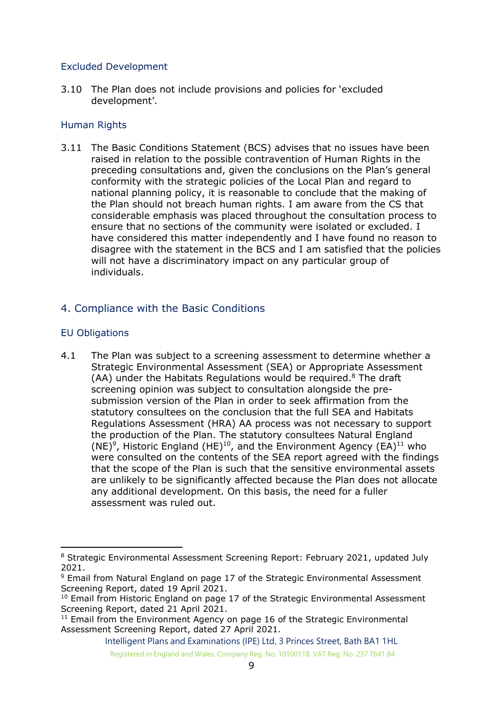# <span id="page-8-0"></span>Excluded Development

3.10 The Plan does not include provisions and policies for 'excluded development'.

# <span id="page-8-1"></span>Human Rights

3.11 The Basic Conditions Statement (BCS) advises that no issues have been raised in relation to the possible contravention of Human Rights in the preceding consultations and, given the conclusions on the Plan's general conformity with the strategic policies of the Local Plan and regard to national planning policy, it is reasonable to conclude that the making of the Plan should not breach human rights. I am aware from the CS that considerable emphasis was placed throughout the consultation process to ensure that no sections of the community were isolated or excluded. I have considered this matter independently and I have found no reason to disagree with the statement in the BCS and I am satisfied that the policies will not have a discriminatory impact on any particular group of individuals.

# <span id="page-8-2"></span>4. Compliance with the Basic Conditions

# <span id="page-8-3"></span>EU Obligations

4.1 The Plan was subject to a screening assessment to determine whether a Strategic Environmental Assessment (SEA) or Appropriate Assessment (AA) under the Habitats Regulations would be required. $8$  The draft screening opinion was subject to consultation alongside the presubmission version of the Plan in order to seek affirmation from the statutory consultees on the conclusion that the full SEA and Habitats Regulations Assessment (HRA) AA process was not necessary to support the production of the Plan. The statutory consultees Natural England (NE)<sup>9</sup>, Historic England (HE)<sup>10</sup>, and the Environment Agency (EA)<sup>11</sup> who were consulted on the contents of the SEA report agreed with the findings that the scope of the Plan is such that the sensitive environmental assets are unlikely to be significantly affected because the Plan does not allocate any additional development. On this basis, the need for a fuller assessment was ruled out.

<sup>&</sup>lt;sup>8</sup> Strategic Environmental Assessment Screening Report: February 2021, updated July 2021.

<sup>&</sup>lt;sup>9</sup> Email from Natural England on page 17 of the Strategic Environmental Assessment Screening Report, dated 19 April 2021.

 $10$  Email from Historic England on page 17 of the Strategic Environmental Assessment Screening Report, dated 21 April 2021.

<sup>&</sup>lt;sup>11</sup> Email from the Environment Agency on page 16 of the Strategic Environmental Assessment Screening Report, dated 27 April 2021.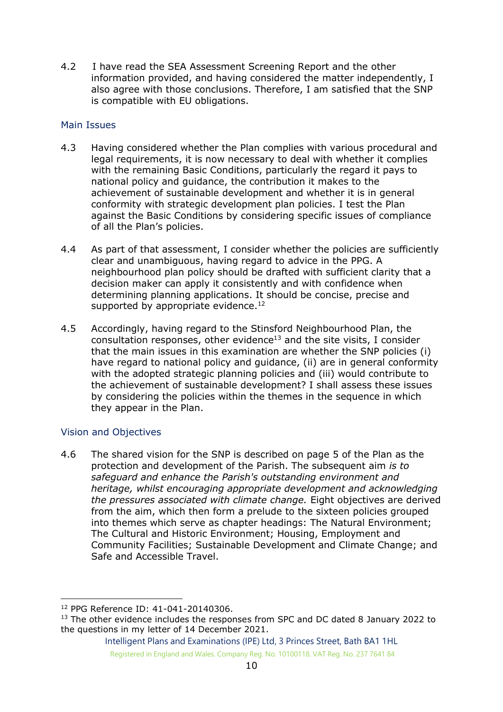4.2 I have read the SEA Assessment Screening Report and the other information provided, and having considered the matter independently, I also agree with those conclusions. Therefore, I am satisfied that the SNP is compatible with EU obligations.

# <span id="page-9-0"></span>Main Issues

- 4.3 Having considered whether the Plan complies with various procedural and legal requirements, it is now necessary to deal with whether it complies with the remaining Basic Conditions, particularly the regard it pays to national policy and guidance, the contribution it makes to the achievement of sustainable development and whether it is in general conformity with strategic development plan policies. I test the Plan against the Basic Conditions by considering specific issues of compliance of all the Plan's policies.
- 4.4 As part of that assessment, I consider whether the policies are sufficiently clear and unambiguous, having regard to advice in the PPG. A neighbourhood plan policy should be drafted with sufficient clarity that a decision maker can apply it consistently and with confidence when determining planning applications. It should be concise, precise and supported by appropriate evidence. $12$
- 4.5 Accordingly, having regard to the Stinsford Neighbourhood Plan, the consultation responses, other evidence<sup>13</sup> and the site visits, I consider that the main issues in this examination are whether the SNP policies (i) have regard to national policy and guidance, (ii) are in general conformity with the adopted strategic planning policies and (iii) would contribute to the achievement of sustainable development? I shall assess these issues by considering the policies within the themes in the sequence in which they appear in the Plan.

# <span id="page-9-1"></span>Vision and Objectives

4.6 The shared vision for the SNP is described on page 5 of the Plan as the protection and development of the Parish. The subsequent aim *is to safeguard and enhance the Parish's outstanding environment and heritage, whilst encouraging appropriate development and acknowledging the pressures associated with climate change.* Eight objectives are derived from the aim, which then form a prelude to the sixteen policies grouped into themes which serve as chapter headings: The Natural Environment; The Cultural and Historic Environment; Housing, Employment and Community Facilities; Sustainable Development and Climate Change; and Safe and Accessible Travel.

<sup>12</sup> PPG Reference ID: 41-041-20140306.

<sup>&</sup>lt;sup>13</sup> The other evidence includes the responses from SPC and DC dated 8 January 2022 to the questions in my letter of 14 December 2021.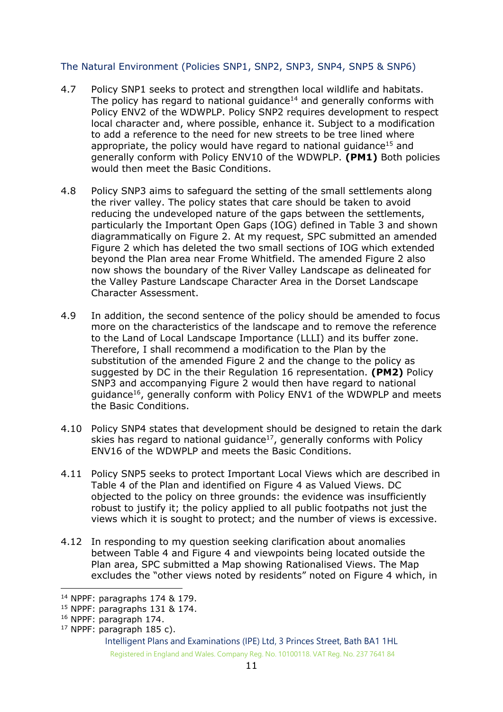# <span id="page-10-0"></span>The Natural Environment (Policies SNP1, SNP2, SNP3, SNP4, SNP5 & SNP6)

- 4.7 Policy SNP1 seeks to protect and strengthen local wildlife and habitats. The policy has regard to national guidance<sup>14</sup> and generally conforms with Policy ENV2 of the WDWPLP. Policy SNP2 requires development to respect local character and, where possible, enhance it. Subject to a modification to add a reference to the need for new streets to be tree lined where appropriate, the policy would have regard to national guidance<sup>15</sup> and generally conform with Policy ENV10 of the WDWPLP. **(PM1)** Both policies would then meet the Basic Conditions.
- 4.8 Policy SNP3 aims to safeguard the setting of the small settlements along the river valley. The policy states that care should be taken to avoid reducing the undeveloped nature of the gaps between the settlements, particularly the Important Open Gaps (IOG) defined in Table 3 and shown diagrammatically on Figure 2. At my request, SPC submitted an amended Figure 2 which has deleted the two small sections of IOG which extended beyond the Plan area near Frome Whitfield. The amended Figure 2 also now shows the boundary of the River Valley Landscape as delineated for the Valley Pasture Landscape Character Area in the Dorset Landscape Character Assessment.
- 4.9 In addition, the second sentence of the policy should be amended to focus more on the characteristics of the landscape and to remove the reference to the Land of Local Landscape Importance (LLLI) and its buffer zone. Therefore, I shall recommend a modification to the Plan by the substitution of the amended Figure 2 and the change to the policy as suggested by DC in the their Regulation 16 representation. **(PM2)** Policy SNP3 and accompanying Figure 2 would then have regard to national guidance<sup>16</sup>, generally conform with Policy ENV1 of the WDWPLP and meets the Basic Conditions.
- 4.10 Policy SNP4 states that development should be designed to retain the dark skies has regard to national quidance<sup>17</sup>, generally conforms with Policy ENV16 of the WDWPLP and meets the Basic Conditions.
- 4.11 Policy SNP5 seeks to protect Important Local Views which are described in Table 4 of the Plan and identified on Figure 4 as Valued Views. DC objected to the policy on three grounds: the evidence was insufficiently robust to justify it; the policy applied to all public footpaths not just the views which it is sought to protect; and the number of views is excessive.
- 4.12 In responding to my question seeking clarification about anomalies between Table 4 and Figure 4 and viewpoints being located outside the Plan area, SPC submitted a Map showing Rationalised Views. The Map excludes the "other views noted by residents" noted on Figure 4 which, in

<sup>14</sup> NPPF: paragraphs 174 & 179.

<sup>15</sup> NPPF: paragraphs 131 & 174.

<sup>16</sup> NPPF: paragraph 174.

 $17$  NPPF: paragraph 185 c).

Intelligent Plans and Examinations (IPE) Ltd, 3 Princes Street, Bath BA1 1HL Registered in England and Wales. Company Reg. No. 10100118. VAT Reg. No. 237 7641 84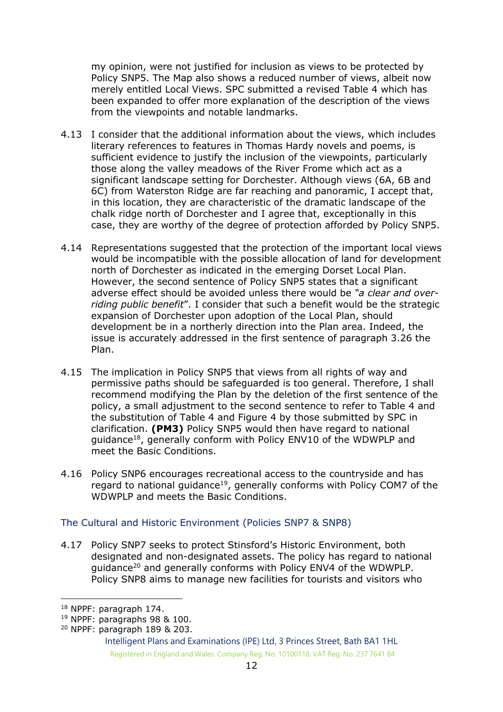my opinion, were not justified for inclusion as views to be protected by Policy SNP5. The Map also shows a reduced number of views, albeit now merely entitled Local Views. SPC submitted a revised Table 4 which has been expanded to offer more explanation of the description of the views from the viewpoints and notable landmarks.

- 4.13 I consider that the additional information about the views, which includes literary references to features in Thomas Hardy novels and poems, is sufficient evidence to justify the inclusion of the viewpoints, particularly those along the valley meadows of the River Frome which act as a significant landscape setting for Dorchester. Although views (6A, 6B and 6C) from Waterston Ridge are far reaching and panoramic, I accept that, in this location, they are characteristic of the dramatic landscape of the chalk ridge north of Dorchester and I agree that, exceptionally in this case, they are worthy of the degree of protection afforded by Policy SNP5.
- 4.14 Representations suggested that the protection of the important local views would be incompatible with the possible allocation of land for development north of Dorchester as indicated in the emerging Dorset Local Plan. However, the second sentence of Policy SNP5 states that a significant adverse effect should be avoided unless there would be *"a clear and overriding public benefit*". I consider that such a benefit would be the strategic expansion of Dorchester upon adoption of the Local Plan, should development be in a northerly direction into the Plan area. Indeed, the issue is accurately addressed in the first sentence of paragraph 3.26 the Plan.
- 4.15 The implication in Policy SNP5 that views from all rights of way and permissive paths should be safeguarded is too general. Therefore, I shall recommend modifying the Plan by the deletion of the first sentence of the policy, a small adjustment to the second sentence to refer to Table 4 and the substitution of Table 4 and Figure 4 by those submitted by SPC in clarification. **(PM3)** Policy SNP5 would then have regard to national guidance<sup>18</sup>, generally conform with Policy ENV10 of the WDWPLP and meet the Basic Conditions.
- 4.16 Policy SNP6 encourages recreational access to the countryside and has regard to national guidance<sup>19</sup>, generally conforms with Policy COM7 of the WDWPLP and meets the Basic Conditions.

# <span id="page-11-0"></span>The Cultural and Historic Environment (Policies SNP7 & SNP8)

4.17 Policy SNP7 seeks to protect Stinsford's Historic Environment, both designated and non-designated assets. The policy has regard to national guidance<sup>20</sup> and generally conforms with Policy ENV4 of the WDWPLP. Policy SNP8 aims to manage new facilities for tourists and visitors who

<sup>18</sup> NPPF: paragraph 174.

<sup>19</sup> NPPF: paragraphs 98 & 100.

<sup>20</sup> NPPF: paragraph 189 & 203.

Intelligent Plans and Examinations (IPE) Ltd, 3 Princes Street, Bath BA1 1HL Registered in England and Wales. Company Reg. No. 10100118. VAT Reg. No. 237 7641 84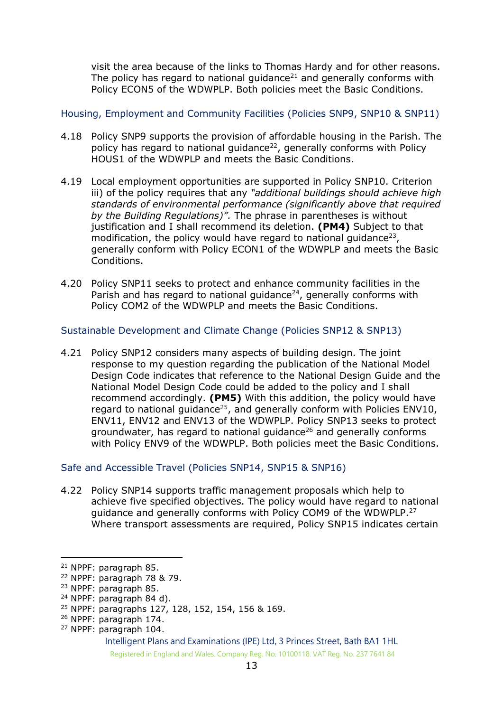visit the area because of the links to Thomas Hardy and for other reasons. The policy has regard to national guidance<sup>21</sup> and generally conforms with Policy ECON5 of the WDWPLP. Both policies meet the Basic Conditions.

# <span id="page-12-0"></span>Housing, Employment and Community Facilities (Policies SNP9, SNP10 & SNP11)

- 4.18 Policy SNP9 supports the provision of affordable housing in the Parish. The policy has regard to national guidance<sup>22</sup>, generally conforms with Policy HOUS1 of the WDWPLP and meets the Basic Conditions.
- 4.19 Local employment opportunities are supported in Policy SNP10. Criterion iii) of the policy requires that any *"additional buildings should achieve high standards of environmental performance (significantly above that required by the Building Regulations)".* The phrase in parentheses is without justification and I shall recommend its deletion. **(PM4)** Subject to that modification, the policy would have regard to national guidance<sup>23</sup>, generally conform with Policy ECON1 of the WDWPLP and meets the Basic Conditions.
- 4.20 Policy SNP11 seeks to protect and enhance community facilities in the Parish and has regard to national guidance<sup>24</sup>, generally conforms with Policy COM2 of the WDWPLP and meets the Basic Conditions.

# <span id="page-12-1"></span>Sustainable Development and Climate Change (Policies SNP12 & SNP13)

4.21 Policy SNP12 considers many aspects of building design. The joint response to my question regarding the publication of the National Model Design Code indicates that reference to the National Design Guide and the National Model Design Code could be added to the policy and I shall recommend accordingly. **(PM5)** With this addition, the policy would have regard to national guidance<sup>25</sup>, and generally conform with Policies ENV10, ENV11, ENV12 and ENV13 of the WDWPLP. Policy SNP13 seeks to protect groundwater, has regard to national guidance<sup>26</sup> and generally conforms with Policy ENV9 of the WDWPLP. Both policies meet the Basic Conditions.

# <span id="page-12-2"></span>Safe and Accessible Travel (Policies SNP14, SNP15 & SNP16)

4.22 Policy SNP14 supports traffic management proposals which help to achieve five specified objectives. The policy would have regard to national guidance and generally conforms with Policy COM9 of the WDWPLP.<sup>27</sup> Where transport assessments are required, Policy SNP15 indicates certain

<sup>21</sup> NPPF: paragraph 85.

<sup>22</sup> NPPF: paragraph 78 & 79.

<sup>23</sup> NPPF: paragraph 85.

<sup>24</sup> NPPF: paragraph 84 d).

<sup>25</sup> NPPF: paragraphs 127, 128, 152, 154, 156 & 169.

<sup>26</sup> NPPF: paragraph 174.

<sup>27</sup> NPPF: paragraph 104.

Intelligent Plans and Examinations (IPE) Ltd, 3 Princes Street, Bath BA1 1HL Registered in England and Wales. Company Reg. No. 10100118. VAT Reg. No. 237 7641 84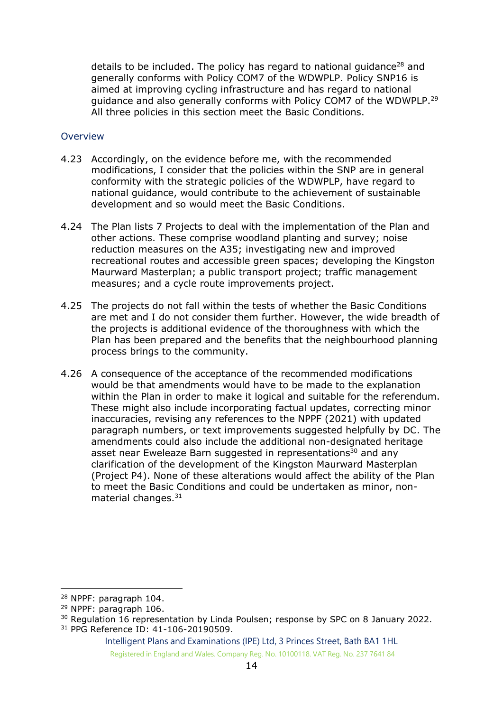details to be included. The policy has regard to national quidance<sup>28</sup> and generally conforms with Policy COM7 of the WDWPLP. Policy SNP16 is aimed at improving cycling infrastructure and has regard to national guidance and also generally conforms with Policy COM7 of the WDWPLP.<sup>29</sup> All three policies in this section meet the Basic Conditions.

#### <span id="page-13-0"></span>**Overview**

- 4.23 Accordingly, on the evidence before me, with the recommended modifications, I consider that the policies within the SNP are in general conformity with the strategic policies of the WDWPLP, have regard to national guidance, would contribute to the achievement of sustainable development and so would meet the Basic Conditions.
- 4.24 The Plan lists 7 Projects to deal with the implementation of the Plan and other actions. These comprise woodland planting and survey; noise reduction measures on the A35; investigating new and improved recreational routes and accessible green spaces; developing the Kingston Maurward Masterplan; a public transport project; traffic management measures; and a cycle route improvements project.
- 4.25 The projects do not fall within the tests of whether the Basic Conditions are met and I do not consider them further. However, the wide breadth of the projects is additional evidence of the thoroughness with which the Plan has been prepared and the benefits that the neighbourhood planning process brings to the community.
- 4.26 A consequence of the acceptance of the recommended modifications would be that amendments would have to be made to the explanation within the Plan in order to make it logical and suitable for the referendum. These might also include incorporating factual updates, correcting minor inaccuracies, revising any references to the NPPF (2021) with updated paragraph numbers, or text improvements suggested helpfully by DC. The amendments could also include the additional non-designated heritage asset near Eweleaze Barn suggested in representations<sup>30</sup> and any clarification of the development of the Kingston Maurward Masterplan (Project P4). None of these alterations would affect the ability of the Plan to meet the Basic Conditions and could be undertaken as minor, nonmaterial changes.<sup>31</sup>

<sup>28</sup> NPPF: paragraph 104.

<sup>29</sup> NPPF: paragraph 106.

<sup>&</sup>lt;sup>30</sup> Regulation 16 representation by Linda Poulsen; response by SPC on 8 January 2022. <sup>31</sup> PPG Reference ID: 41-106-20190509.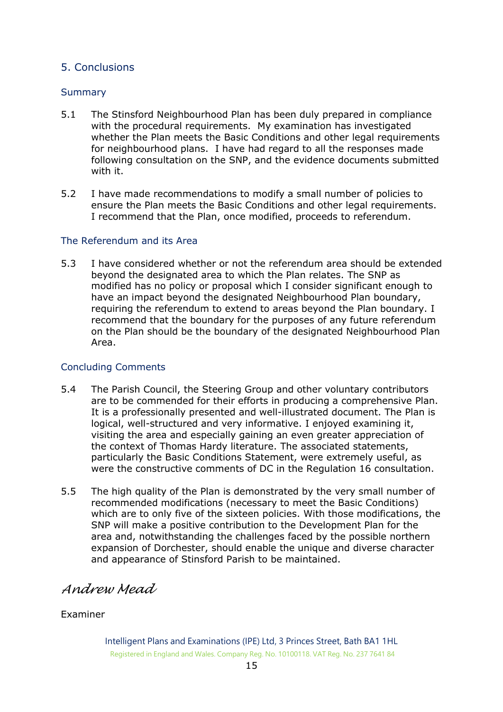# <span id="page-14-0"></span>5. Conclusions

#### <span id="page-14-1"></span>**Summary**

- 5.1 The Stinsford Neighbourhood Plan has been duly prepared in compliance with the procedural requirements. My examination has investigated whether the Plan meets the Basic Conditions and other legal requirements for neighbourhood plans. I have had regard to all the responses made following consultation on the SNP, and the evidence documents submitted with it.
- 5.2 I have made recommendations to modify a small number of policies to ensure the Plan meets the Basic Conditions and other legal requirements. I recommend that the Plan, once modified, proceeds to referendum.

#### <span id="page-14-2"></span>The Referendum and its Area

5.3 I have considered whether or not the referendum area should be extended beyond the designated area to which the Plan relates. The SNP as modified has no policy or proposal which I consider significant enough to have an impact beyond the designated Neighbourhood Plan boundary, requiring the referendum to extend to areas beyond the Plan boundary. I recommend that the boundary for the purposes of any future referendum on the Plan should be the boundary of the designated Neighbourhood Plan Area.

# <span id="page-14-3"></span>Concluding Comments

- 5.4 The Parish Council, the Steering Group and other voluntary contributors are to be commended for their efforts in producing a comprehensive Plan. It is a professionally presented and well-illustrated document. The Plan is logical, well-structured and very informative. I enjoyed examining it, visiting the area and especially gaining an even greater appreciation of the context of Thomas Hardy literature. The associated statements, particularly the Basic Conditions Statement, were extremely useful, as were the constructive comments of DC in the Regulation 16 consultation.
- 5.5 The high quality of the Plan is demonstrated by the very small number of recommended modifications (necessary to meet the Basic Conditions) which are to only five of the sixteen policies. With those modifications, the SNP will make a positive contribution to the Development Plan for the area and, notwithstanding the challenges faced by the possible northern expansion of Dorchester, should enable the unique and diverse character and appearance of Stinsford Parish to be maintained.

# *Andrew Mead*

# Examiner